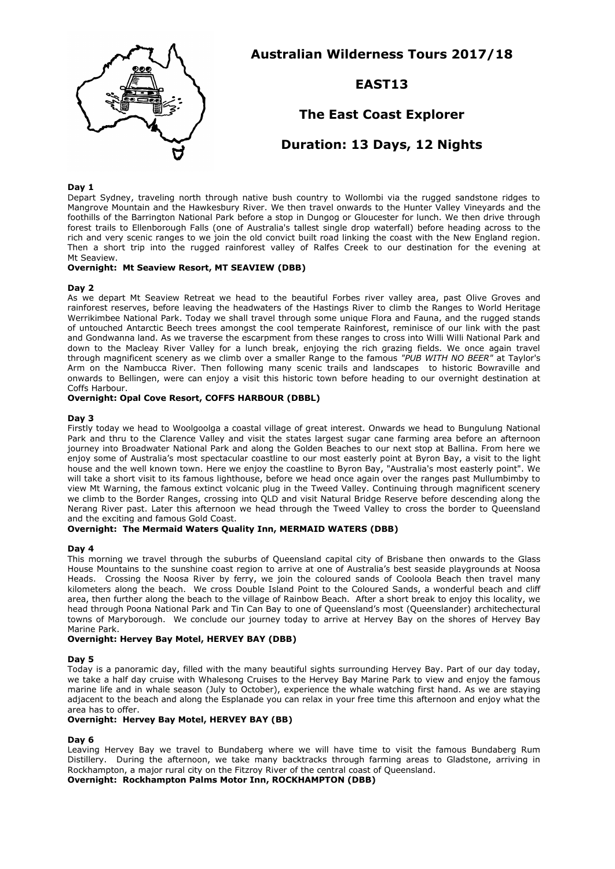

**Australian Wilderness Tours 2017/18**

# **EAST13**

# **The East Coast Explorer**

# **Duration: 13 Days, 12 Nights**

### **Day 1**

Depart Sydney, traveling north through native bush country to Wollombi via the rugged sandstone ridges to Mangrove Mountain and the Hawkesbury River. We then travel onwards to the Hunter Valley Vineyards and the foothills of the Barrington National Park before a stop in Dungog or Gloucester for lunch. We then drive through forest trails to Ellenborough Falls (one of Australia's tallest single drop waterfall) before heading across to the rich and very scenic ranges to we join the old convict built road linking the coast with the New England region. Then a short trip into the rugged rainforest valley of Ralfes Creek to our destination for the evening at Mt Seaview.

## **Overnight: Mt Seaview Resort, MT SEAVIEW (DBB)**

#### **Day 2**

As we depart Mt Seaview Retreat we head to the beautiful Forbes river valley area, past Olive Groves and rainforest reserves, before leaving the headwaters of the Hastings River to climb the Ranges to World Heritage Werrikimbee National Park. Today we shall travel through some unique Flora and Fauna, and the rugged stands of untouched Antarctic Beech trees amongst the cool temperate Rainforest, reminisce of our link with the past and Gondwanna land. As we traverse the escarpment from these ranges to cross into Willi Willi National Park and down to the Macleay River Valley for a lunch break, enjoying the rich grazing fields. We once again travel through magnificent scenery as we climb over a smaller Range to the famous *"PUB WITH NO BEER"* at Taylor's Arm on the Nambucca River. Then following many scenic trails and landscapes to historic Bowraville and onwards to Bellingen, were can enjoy a visit this historic town before heading to our overnight destination at Coffs Harbour.

#### **Overnight: Opal Cove Resort, COFFS HARBOUR (DBBL)**

#### **Day 3**

Firstly today we head to Woolgoolga a coastal village of great interest. Onwards we head to Bungulung National Park and thru to the Clarence Valley and visit the states largest sugar cane farming area before an afternoon journey into Broadwater National Park and along the Golden Beaches to our next stop at Ballina. From here we enjoy some of Australia's most spectacular coastline to our most easterly point at Byron Bay, a visit to the light house and the well known town. Here we enjoy the coastline to Byron Bay, "Australia's most easterly point". We will take a short visit to its famous lighthouse, before we head once again over the ranges past Mullumbimby to view Mt Warning, the famous extinct volcanic plug in the Tweed Valley. Continuing through magnificent scenery we climb to the Border Ranges, crossing into QLD and visit Natural Bridge Reserve before descending along the Nerang River past. Later this afternoon we head through the Tweed Valley to cross the border to Queensland and the exciting and famous Gold Coast.

## **Overnight: The Mermaid Waters Quality Inn, MERMAID WATERS (DBB)**

#### **Day 4**

This morning we travel through the suburbs of Queensland capital city of Brisbane then onwards to the Glass House Mountains to the sunshine coast region to arrive at one of Australia's best seaside playgrounds at Noosa Heads. Crossing the Noosa River by ferry, we join the coloured sands of Cooloola Beach then travel many kilometers along the beach. We cross Double Island Point to the Coloured Sands, a wonderful beach and cliff area, then further along the beach to the village of Rainbow Beach. After a short break to enjoy this locality, we head through Poona National Park and Tin Can Bay to one of Queensland's most (Queenslander) architechectural towns of Maryborough. We conclude our journey today to arrive at Hervey Bay on the shores of Hervey Bay Marine Park.

## **Overnight: Hervey Bay Motel, HERVEY BAY (DBB)**

#### **Day 5**

Today is a panoramic day, filled with the many beautiful sights surrounding Hervey Bay. Part of our day today, we take a half day cruise with Whalesong Cruises to the Hervey Bay Marine Park to view and enjoy the famous marine life and in whale season (July to October), experience the whale watching first hand. As we are staying adjacent to the beach and along the Esplanade you can relax in your free time this afternoon and enjoy what the area has to offer.

# **Overnight: Hervey Bay Motel, HERVEY BAY (BB)**

### **Day 6**

Leaving Hervey Bay we travel to Bundaberg where we will have time to visit the famous Bundaberg Rum Distillery. During the afternoon, we take many backtracks through farming areas to Gladstone, arriving in Rockhampton, a major rural city on the Fitzroy River of the central coast of Queensland.

**Overnight: Rockhampton Palms Motor Inn, ROCKHAMPTON (DBB)**